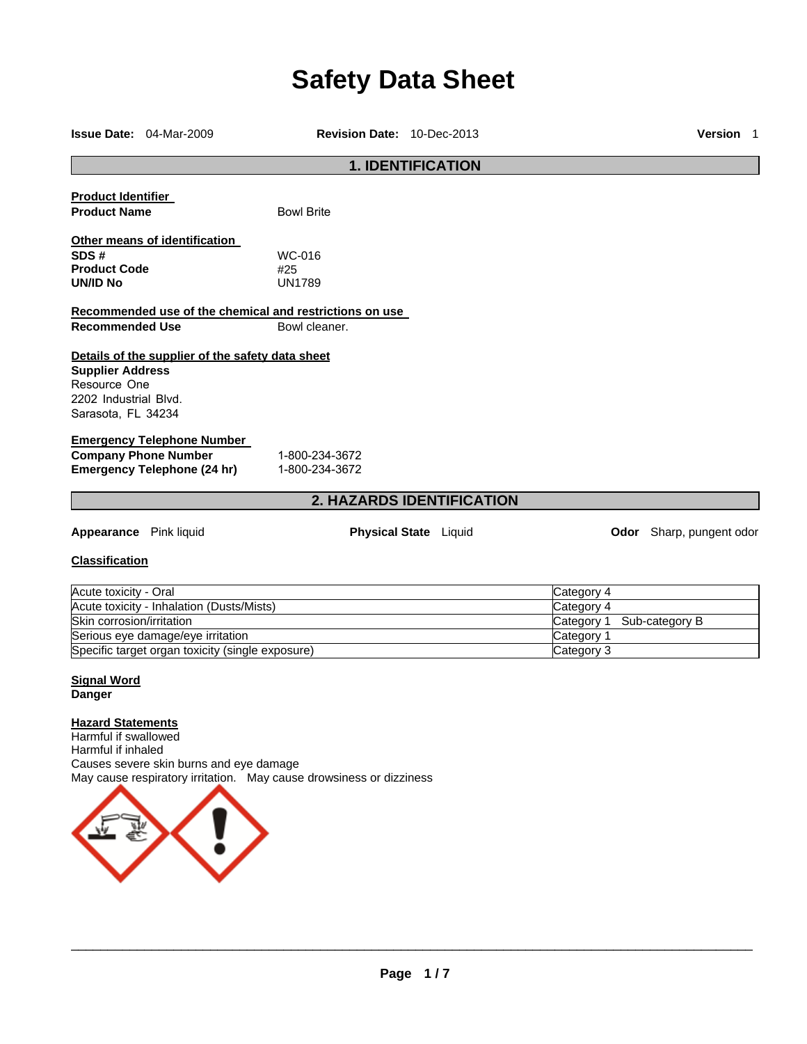# **Safety Data Sheet**

| Revision Date: 10-Dec-2013<br><b>Issue Date: 04-Mar-2009</b>                           |                                                  |                                                         |                              |                           | Version 1 |                                 |
|----------------------------------------------------------------------------------------|--------------------------------------------------|---------------------------------------------------------|------------------------------|---------------------------|-----------|---------------------------------|
|                                                                                        |                                                  |                                                         | <b>1. IDENTIFICATION</b>     |                           |           |                                 |
| <b>Product Identifier</b>                                                              |                                                  |                                                         |                              |                           |           |                                 |
| <b>Product Name</b>                                                                    |                                                  | <b>Bowl Brite</b>                                       |                              |                           |           |                                 |
|                                                                                        | Other means of identification                    |                                                         |                              |                           |           |                                 |
| SDS#                                                                                   |                                                  | WC-016                                                  |                              |                           |           |                                 |
| <b>Product Code</b>                                                                    |                                                  | #25                                                     |                              |                           |           |                                 |
| <b>UN/ID No</b>                                                                        |                                                  | <b>UN1789</b>                                           |                              |                           |           |                                 |
|                                                                                        |                                                  | Recommended use of the chemical and restrictions on use |                              |                           |           |                                 |
| <b>Recommended Use</b>                                                                 |                                                  | Bowl cleaner.                                           |                              |                           |           |                                 |
| <b>Supplier Address</b><br>Resource One<br>2202 Industrial Blvd.<br>Sarasota, FL 34234 | Details of the supplier of the safety data sheet |                                                         |                              |                           |           |                                 |
|                                                                                        | <b>Emergency Telephone Number</b>                |                                                         |                              |                           |           |                                 |
|                                                                                        | <b>Company Phone Number</b>                      | 1-800-234-3672                                          |                              |                           |           |                                 |
|                                                                                        | Emergency Telephone (24 hr)                      | 1-800-234-3672                                          |                              |                           |           |                                 |
|                                                                                        |                                                  | <b>2. HAZARDS IDENTIFICATION</b>                        |                              |                           |           |                                 |
| <b>Appearance</b> Pink liquid                                                          |                                                  |                                                         | <b>Physical State</b> Liquid |                           |           | <b>Odor</b> Sharp, pungent odor |
|                                                                                        |                                                  |                                                         |                              |                           |           |                                 |
| <b>Classification</b>                                                                  |                                                  |                                                         |                              |                           |           |                                 |
| Acute toxicity - Oral                                                                  |                                                  |                                                         |                              | Category 4                |           |                                 |
|                                                                                        | Acute toxicity - Inhalation (Dusts/Mists)        |                                                         |                              | Category 4                |           |                                 |
| Skin corrosion/irritation                                                              |                                                  |                                                         |                              | Category 1 Sub-category B |           |                                 |

# **Signal Word Danger**

# **Hazard Statements**

Harmful if swallowed Harmful if inhaled Causes severe skin burns and eye damage May cause respiratory irritation. May cause drowsiness or dizziness

Serious eye damage/eye irritation Category 1 Specific target organ toxicity (single exposure) Category 3

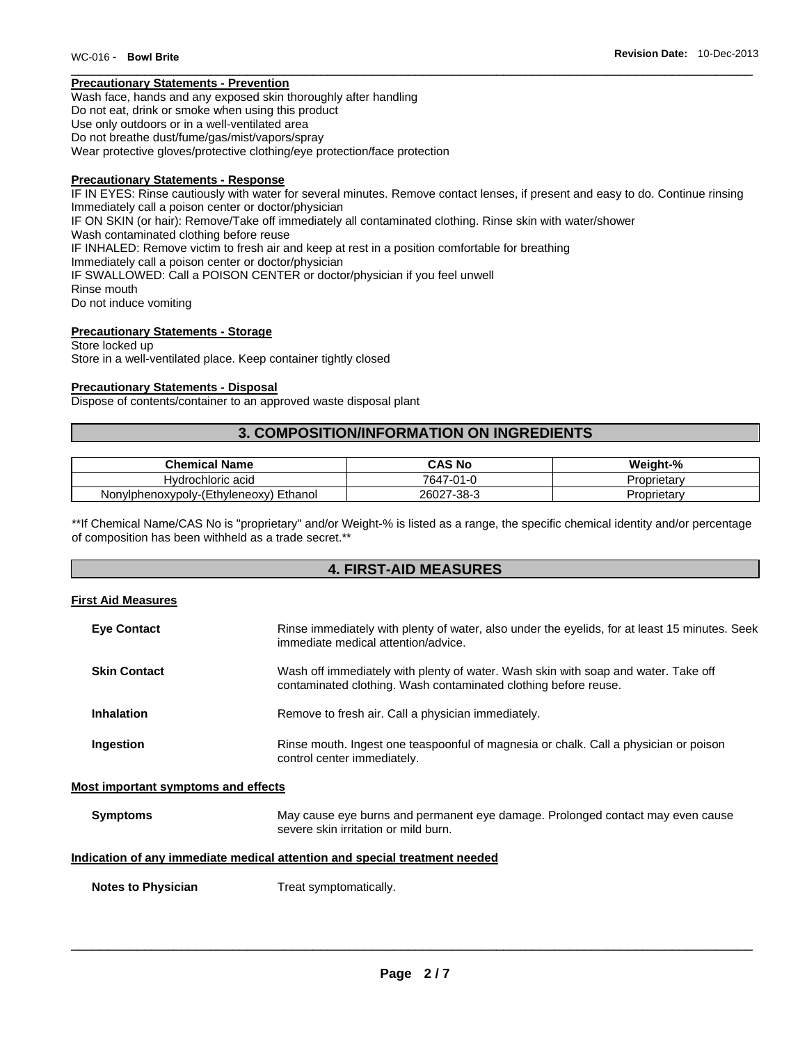#### **Precautionary Statements - Prevention**

Wash face, hands and any exposed skin thoroughly after handling Do not eat, drink or smoke when using this product Use only outdoors or in a well-ventilated area Do not breathe dust/fume/gas/mist/vapors/spray Wear protective gloves/protective clothing/eye protection/face protection

#### **Precautionary Statements - Response**

IF IN EYES: Rinse cautiously with water for several minutes. Remove contact lenses, if present and easy to do. Continue rinsing Immediately call a poison center or doctor/physician IF ON SKIN (or hair): Remove/Take off immediately all contaminated clothing. Rinse skin with water/shower Wash contaminated clothing before reuse IF INHALED: Remove victim to fresh air and keep at rest in a position comfortable for breathing Immediately call a poison center or doctor/physician IF SWALLOWED: Call a POISON CENTER or doctor/physician if you feel unwell Rinse mouth Do not induce vomiting

### **Precautionary Statements - Storage**

Store locked up Store in a well-ventilated place. Keep container tightly closed

#### **Precautionary Statements - Disposal**

Dispose of contents/container to an approved waste disposal plant

# **3. COMPOSITION/INFORMATION ON INGREDIENTS**

| Chemical Name                          | CAS No                  | Weiaht-%    |
|----------------------------------------|-------------------------|-------------|
| Hydrochloric acid                      | $(-0^4)$<br>7647<br>1-0 | Proprietary |
| Nonylphenoxypoly-(Ethyleneoxy) Ethanol | $7 - 38 - 3$<br>26027   | Proprietary |

\*\*If Chemical Name/CAS No is "proprietary" and/or Weight-% is listed as a range, the specific chemical identity and/or percentage of composition has been withheld as a trade secret.\*\*

# **4. FIRST-AID MEASURES**

#### **First Aid Measures**

| <b>Eye Contact</b>                  | Rinse immediately with plenty of water, also under the eyelids, for at least 15 minutes. Seek<br>immediate medical attention/advice.                  |
|-------------------------------------|-------------------------------------------------------------------------------------------------------------------------------------------------------|
| <b>Skin Contact</b>                 | Wash off immediately with plenty of water. Wash skin with soap and water. Take off<br>contaminated clothing. Wash contaminated clothing before reuse. |
| <b>Inhalation</b>                   | Remove to fresh air. Call a physician immediately.                                                                                                    |
| Ingestion                           | Rinse mouth. Ingest one teaspoonful of magnesia or chalk. Call a physician or poison<br>control center immediately.                                   |
| Most important symptoms and effects |                                                                                                                                                       |

#### **Symptoms May cause eye burns and permanent eye damage. Prolonged contact may even cause** severe skin irritation or mild burn.

#### **Indication of any immediate medical attention and special treatment needed**

**Notes to Physician**  Treat symptomatically.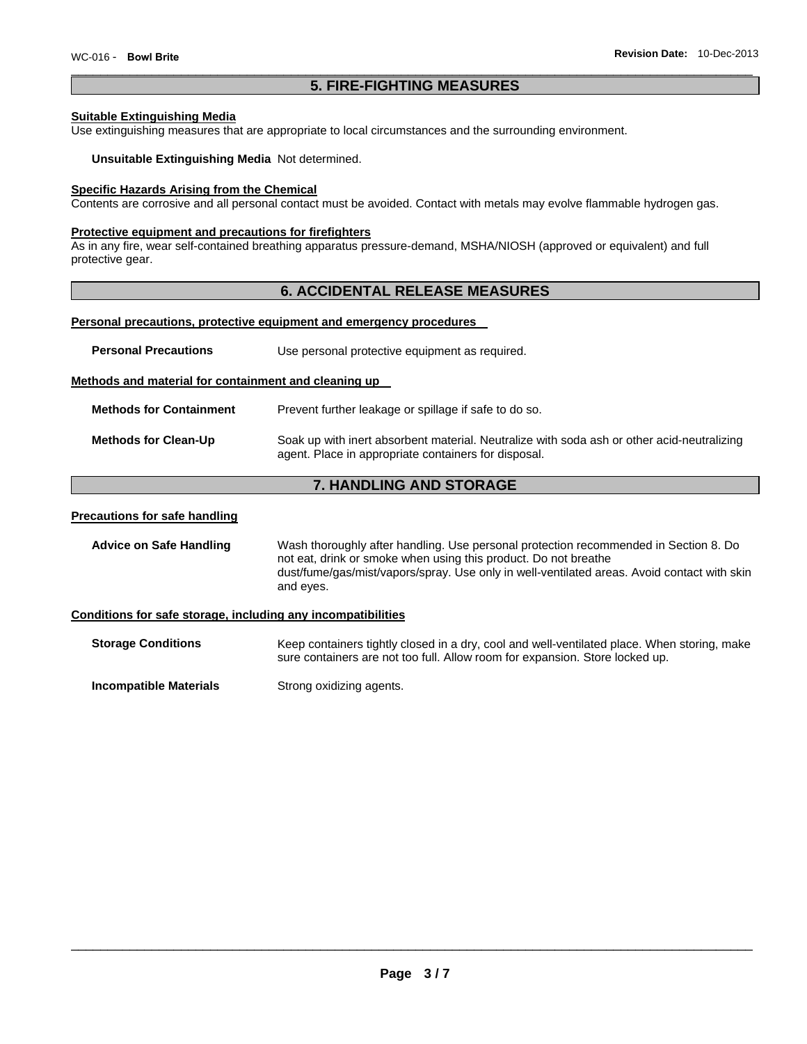# **5. FIRE-FIGHTING MEASURES**

#### **Suitable Extinguishing Media**

Use extinguishing measures that are appropriate to local circumstances and the surrounding environment.

#### **Unsuitable Extinguishing Media** Not determined.

#### **Specific Hazards Arising from the Chemical**

Contents are corrosive and all personal contact must be avoided. Contact with metals may evolve flammable hydrogen gas.

#### **Protective equipment and precautions for firefighters**

As in any fire, wear self-contained breathing apparatus pressure-demand, MSHA/NIOSH (approved or equivalent) and full protective gear.

## **6. ACCIDENTAL RELEASE MEASURES**

#### **Personal precautions, protective equipment and emergency procedures**

| <b>Personal Precautions</b>                          | Use personal protective equipment as required.                                             |
|------------------------------------------------------|--------------------------------------------------------------------------------------------|
| Methods and material for containment and cleaning up |                                                                                            |
| <b>Methods for Containment</b>                       | Prevent further leakage or spillage if safe to do so.                                      |
| <b>Methods for Clean-Up</b>                          | Soak up with inert absorbent material. Neutralize with soda ash or other acid-neutralizing |

# **7. HANDLING AND STORAGE**

agent. Place in appropriate containers for disposal.

#### **Precautions for safe handling**

**Advice on Safe Handling** Wash thoroughly after handling. Use personal protection recommended in Section 8. Do not eat, drink or smoke when using this product. Do not breathe dust/fume/gas/mist/vapors/spray. Use only in well-ventilated areas. Avoid contact with skin and eyes.

#### **Conditions for safe storage, including any incompatibilities**

**Storage Conditions Keep containers tightly closed in a dry, cool and well-ventilated place. When storing, make** sure containers are not too full. Allow room for expansion. Store locked up.

**Incompatible Materials Strong oxidizing agents.**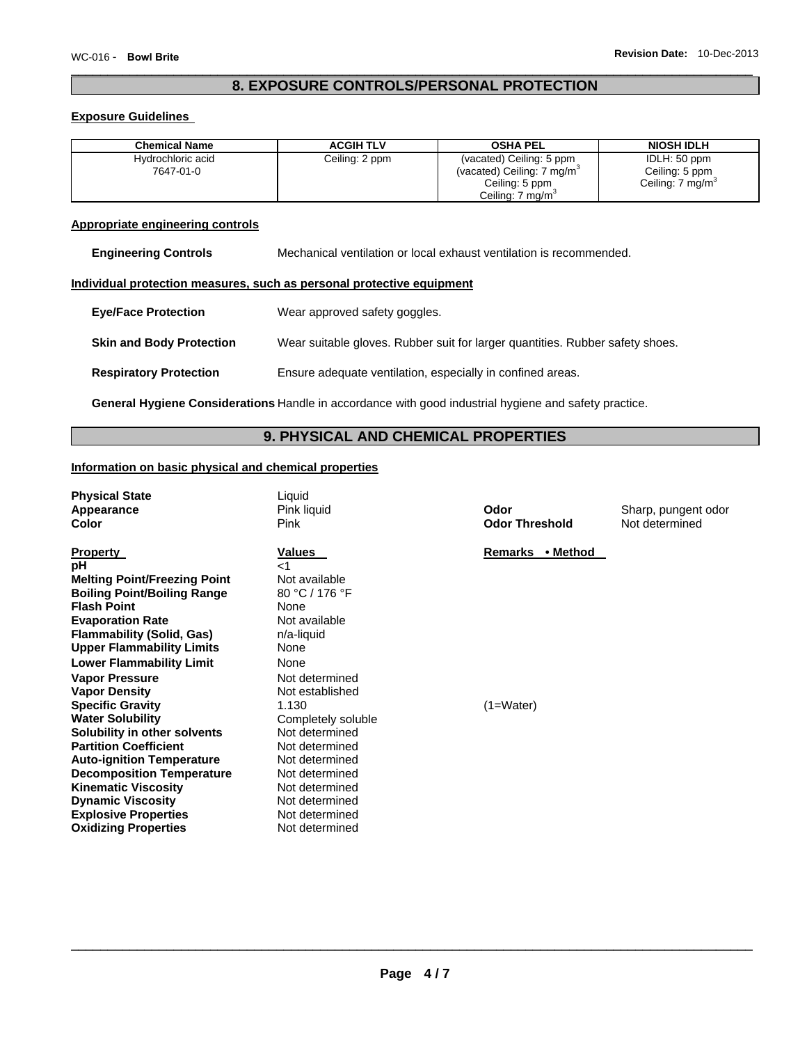# **8. EXPOSURE CONTROLS/PERSONAL PROTECTION**

#### **Exposure Guidelines**

| <b>Chemical Name</b> | <b>ACGIH TLV</b> | <b>OSHA PEL</b>                        | <b>NIOSH IDLH</b>           |
|----------------------|------------------|----------------------------------------|-----------------------------|
| Hydrochloric acid    | Ceiling: 2 ppm   | (vacated) Ceiling: 5 ppm               | IDLH: 50 ppm                |
| 7647-01-0            |                  | (vacated) Ceiling: 7 mg/m <sup>3</sup> | Ceiling: 5 ppm              |
|                      |                  | Ceiling: 5 ppm                         | Ceiling: $7 \text{ mg/m}^3$ |
|                      |                  | Ceiling: 7 mg/m <sup>3</sup>           |                             |

## **Appropriate engineering controls**

**Engineering Controls** Mechanical ventilation or local exhaust ventilation is recommended.

# **Individual protection measures, such as personal protective equipment**

| <b>Eye/Face Protection</b>      | Wear approved safety goggles.                                                 |
|---------------------------------|-------------------------------------------------------------------------------|
| <b>Skin and Body Protection</b> | Wear suitable gloves. Rubber suit for larger quantities. Rubber safety shoes. |
| <b>Respiratory Protection</b>   | Ensure adequate ventilation, especially in confined areas.                    |

**General Hygiene Considerations** Handle in accordance with good industrial hygiene and safety practice.

# **9. PHYSICAL AND CHEMICAL PROPERTIES**

#### **Information on basic physical and chemical properties**

| <b>Physical State</b><br>Appearance<br>Color                                                                                                                                                                                  | Liquid<br>Pink liquid<br><b>Pink</b>                                                                                       | Odor<br><b>Odor Threshold</b> | Sharp, pungent odor<br>Not determined |
|-------------------------------------------------------------------------------------------------------------------------------------------------------------------------------------------------------------------------------|----------------------------------------------------------------------------------------------------------------------------|-------------------------------|---------------------------------------|
| <b>Property</b><br>рH                                                                                                                                                                                                         | <b>Values</b><br>ا>                                                                                                        | Remarks • Method              |                                       |
| <b>Melting Point/Freezing Point</b><br><b>Boiling Point/Boiling Range</b><br><b>Flash Point</b><br><b>Evaporation Rate</b><br><b>Flammability (Solid, Gas)</b>                                                                | Not available<br>80 °C / 176 °F<br>None<br>Not available<br>n/a-liquid                                                     |                               |                                       |
| <b>Upper Flammability Limits</b><br><b>Lower Flammability Limit</b>                                                                                                                                                           | None<br>None                                                                                                               |                               |                                       |
| <b>Vapor Pressure</b><br><b>Vapor Density</b><br><b>Specific Gravity</b><br><b>Water Solubility</b>                                                                                                                           | Not determined<br>Not established<br>1.130<br>Completely soluble                                                           | $(1=Water)$                   |                                       |
| Solubility in other solvents<br><b>Partition Coefficient</b><br><b>Auto-ignition Temperature</b><br><b>Decomposition Temperature</b><br><b>Kinematic Viscosity</b><br><b>Dynamic Viscosity</b><br><b>Explosive Properties</b> | Not determined<br>Not determined<br>Not determined<br>Not determined<br>Not determined<br>Not determined<br>Not determined |                               |                                       |
| <b>Oxidizing Properties</b>                                                                                                                                                                                                   | Not determined                                                                                                             |                               |                                       |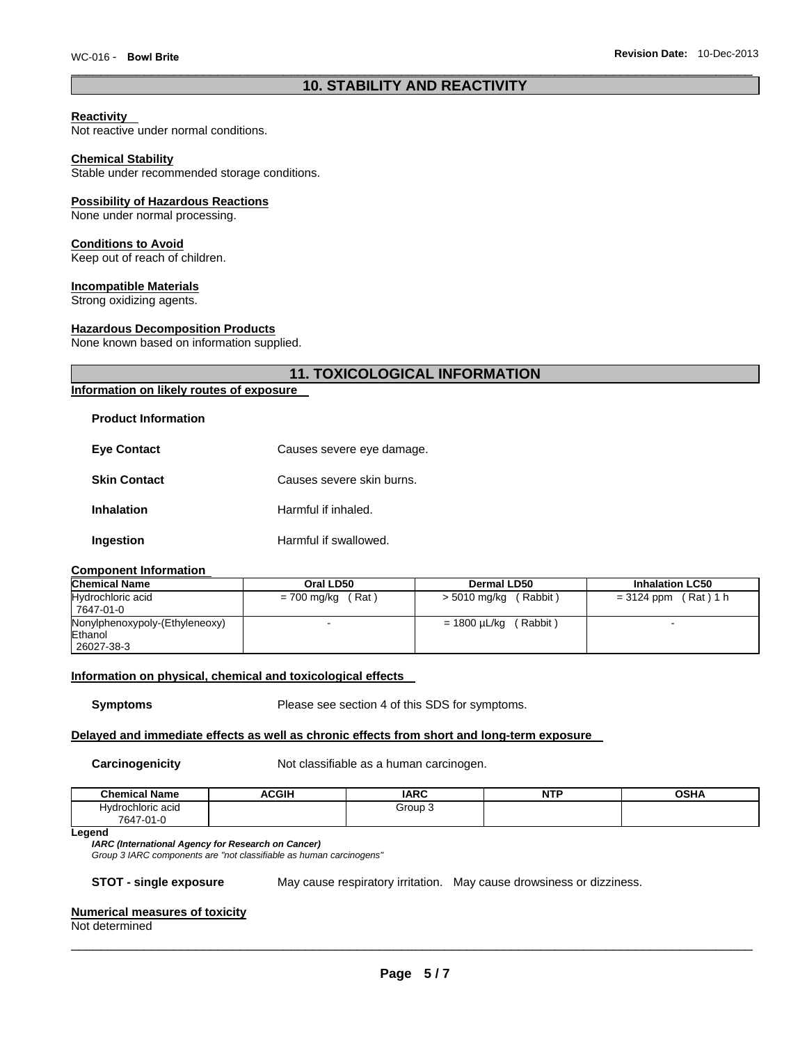# **10. STABILITY AND REACTIVITY**

#### **Reactivity**

Not reactive under normal conditions.

#### **Chemical Stability**

Stable under recommended storage conditions.

#### **Possibility of Hazardous Reactions**

None under normal processing.

#### **Conditions to Avoid**

Keep out of reach of children.

#### **Incompatible Materials**

Strong oxidizing agents.

#### **Hazardous Decomposition Products**

None known based on information supplied.

# **11. TOXICOLOGICAL INFORMATION**

# **Information on likely routes of exposure**

#### **Product Information**

| <b>Eye Contact</b>  | Causes severe eye damage. |
|---------------------|---------------------------|
| <b>Skin Contact</b> | Causes severe skin burns. |
| <b>Inhalation</b>   | Harmful if inhaled.       |
| Ingestion           | Harmful if swallowed.     |

#### **Component Information**

| <b>Chemical Name</b>           | Oral LD50            | <b>Dermal LD50</b>       | <b>Inhalation LC50</b>   |
|--------------------------------|----------------------|--------------------------|--------------------------|
| Hydrochloric acid              | (Rat)<br>= 700 mg/kg | > 5010 mg/kg (Rabbit)    | $= 3124$ ppm (Rat) 1 h   |
| 7647-01-0                      |                      |                          |                          |
| Nonylphenoxypoly-(Ethyleneoxy) |                      | (Rabbit)<br>= 1800 µL/kg | $\overline{\phantom{0}}$ |
| Ethanol                        |                      |                          |                          |
| 26027-38-3                     |                      |                          |                          |

## **Information on physical, chemical and toxicological effects**

**Symptoms** Please see section 4 of this SDS for symptoms.

#### **Delayed and immediate effects as well as chronic effects from short and long-term exposure**

**Carcinogenicity Not classifiable as a human carcinogen.** 

| <b>Chemical Name</b>  | <b>\CGIH</b> | <b>IARC</b> | <b>NTP</b> | $\sim$ u $\prime$<br>∤חס |
|-----------------------|--------------|-------------|------------|--------------------------|
| Hvdrochloric acid     |              | Group 1     |            |                          |
| 7647-<br>7-01-0<br>л. |              |             |            |                          |

#### **Legend**

#### *IARC (International Agency for Research on Cancer)*

*Group 3 IARC components are "not classifiable as human carcinogens"* 

**STOT - single exposure** May cause respiratory irritation. May cause drowsiness or dizziness.

#### **Numerical measures of toxicity**

Not determined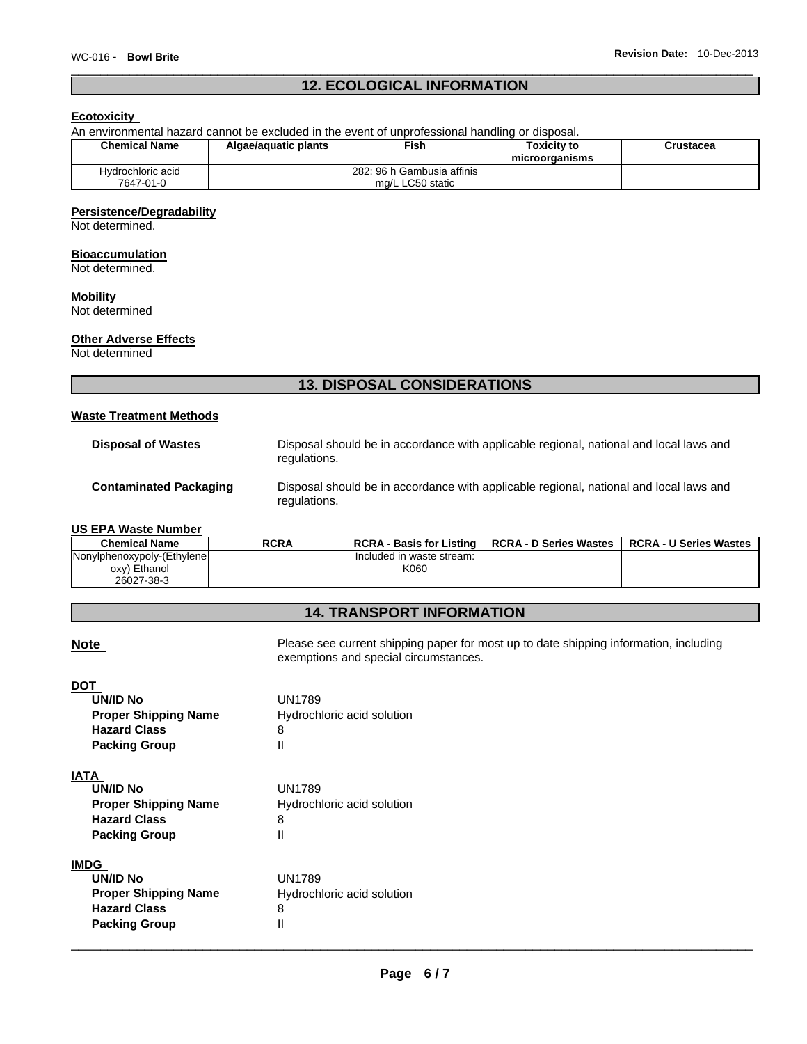# **12. ECOLOGICAL INFORMATION**

# **Ecotoxicity**

| An environmental hazard cannot be excluded in the event of unprofessional handling or disposal. |                      |                                                |                                      |           |
|-------------------------------------------------------------------------------------------------|----------------------|------------------------------------------------|--------------------------------------|-----------|
| <b>Chemical Name</b>                                                                            | Algae/aguatic plants | Fish∶                                          | <b>Toxicity to</b><br>microorganisms | Crustacea |
| Hydrochloric acid<br>7647-01-0                                                                  |                      | 282: 96 h Gambusia affinis<br>mg/L LC50 static |                                      |           |

#### **Persistence/Degradability**

Not determined.

#### **Bioaccumulation**

Not determined.

# **Mobility**

Not determined

# **Other Adverse Effects**

Not determined

# **13. DISPOSAL CONSIDERATIONS**

#### **Waste Treatment Methods**

| <b>Disposal of Wastes</b>     | Disposal should be in accordance with applicable regional, national and local laws and<br>regulations. |
|-------------------------------|--------------------------------------------------------------------------------------------------------|
| <b>Contaminated Packaging</b> | Disposal should be in accordance with applicable regional, national and local laws and<br>regulations. |

#### **US EPA Waste Number**

| <b>Chemical Name</b>        | <b>RCRA</b> | <b>RCRA - Basis for Listing</b> | <b>RCRA - D Series Wastes</b> | <b>RCRA - U Series Wastes</b> |
|-----------------------------|-------------|---------------------------------|-------------------------------|-------------------------------|
| Nonylphenoxypoly-(Ethylene) |             | Included in waste stream:       |                               |                               |
| oxy) Ethanol                |             | K060                            |                               |                               |
| 26027-38-3                  |             |                                 |                               |                               |

# **14. TRANSPORT INFORMATION**

**Note Please see current shipping paper for most up to date shipping information, including** exemptions and special circumstances.

# **DOT**

| <b>UN/ID No</b>             | <b>UN1789</b>              |
|-----------------------------|----------------------------|
| <b>Proper Shipping Name</b> | Hydrochloric acid solution |
| <b>Hazard Class</b>         | 8                          |
| <b>Packing Group</b>        | Ш                          |
|                             |                            |
|                             |                            |

# **IATA**

| UN/ID No                    | <b>UN1789</b>              |
|-----------------------------|----------------------------|
| <b>Proper Shipping Name</b> | Hydrochloric acid solution |
| <b>Hazard Class</b>         | 8                          |
| <b>Packing Group</b>        |                            |

#### **IMDG**

| UN/ID No                    | <b>UN1789</b>              |
|-----------------------------|----------------------------|
| <b>Proper Shipping Name</b> | Hydrochloric acid solution |
| <b>Hazard Class</b>         | 8                          |
| <b>Packing Group</b>        | Ш                          |